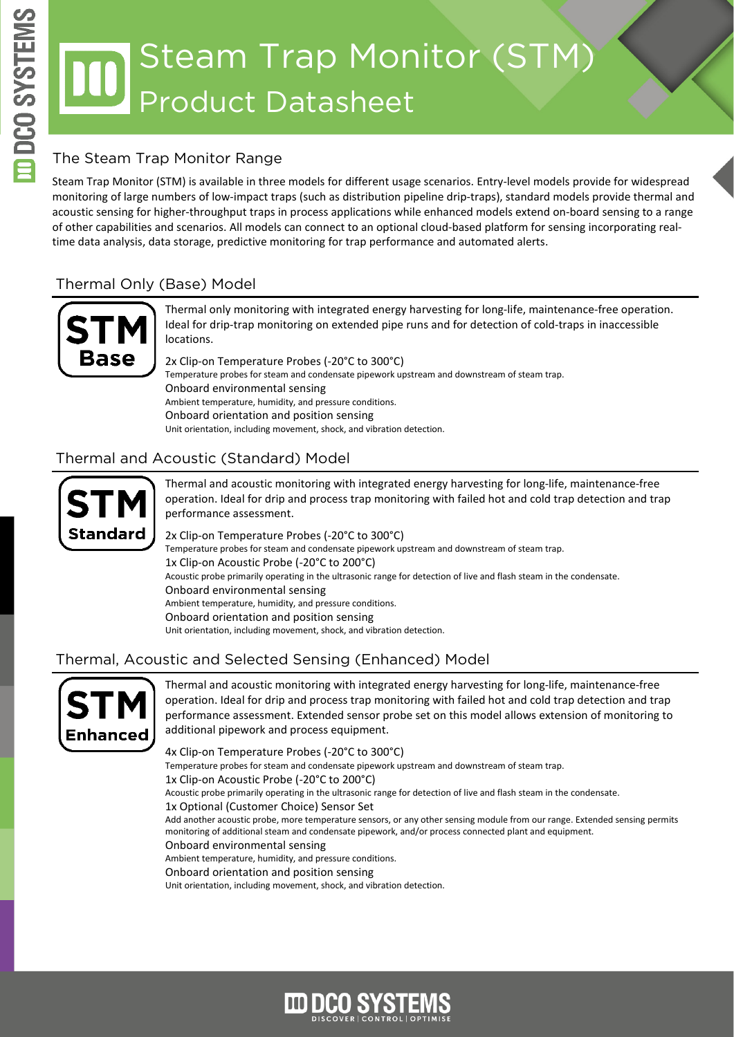# Steam Trap Monitor (STM) Product Datasheet

### The Steam Trap Monitor Range

Steam Trap Monitor (STM) is available in three models for different usage scenarios. Entry-level models provide for widespread monitoring of large numbers of low-impact traps (such as distribution pipeline drip-traps), standard models provide thermal and acoustic sensing for higher-throughput traps in process applications while enhanced models extend on-board sensing to a range of other capabilities and scenarios. All models can connect to an optional cloud-based platform for sensing incorporating realtime data analysis, data storage, predictive monitoring for trap performance and automated alerts.

## Thermal Only (Base) Model



Thermal only monitoring with integrated energy harvesting for long-life, maintenance-free operation. Ideal for drip-trap monitoring on extended pipe runs and for detection of cold-traps in inaccessible locations.

2x Clip-on Temperature Probes (-20°C to 300°C) Temperature probes for steam and condensate pipework upstream and downstream of steam trap. Onboard environmental sensing Ambient temperature, humidity, and pressure conditions. Onboard orientation and position sensing Unit orientation, including movement, shock, and vibration detection.

#### Thermal and Acoustic (Standard) Model



Thermal and acoustic monitoring with integrated energy harvesting for long-life, maintenance-free operation. Ideal for drip and process trap monitoring with failed hot and cold trap detection and trap performance assessment.

2x Clip-on Temperature Probes (-20°C to 300°C) Temperature probes for steam and condensate pipework upstream and downstream of steam trap. 1x Clip-on Acoustic Probe (-20°C to 200°C) Acoustic probe primarily operating in the ultrasonic range for detection of live and flash steam in the condensate. Onboard environmental sensing Ambient temperature, humidity, and pressure conditions. Onboard orientation and position sensing Unit orientation, including movement, shock, and vibration detection.

#### Thermal, Acoustic and Selected Sensing (Enhanced) Model



Thermal and acoustic monitoring with integrated energy harvesting for long-life, maintenance-free operation. Ideal for drip and process trap monitoring with failed hot and cold trap detection and trap performance assessment. Extended sensor probe set on this model allows extension of monitoring to additional pipework and process equipment.

4x Clip-on Temperature Probes (-20°C to 300°C) Temperature probes for steam and condensate pipework upstream and downstream of steam trap. 1x Clip-on Acoustic Probe (-20°C to 200°C) Acoustic probe primarily operating in the ultrasonic range for detection of live and flash steam in the condensate. 1x Optional (Customer Choice) Sensor Set Add another acoustic probe, more temperature sensors, or any other sensing module from our range. Extended sensing permits monitoring of additional steam and condensate pipework, and/or process connected plant and equipment. Onboard environmental sensing Ambient temperature, humidity, and pressure conditions. Onboard orientation and position sensing Unit orientation, including movement, shock, and vibration detection.

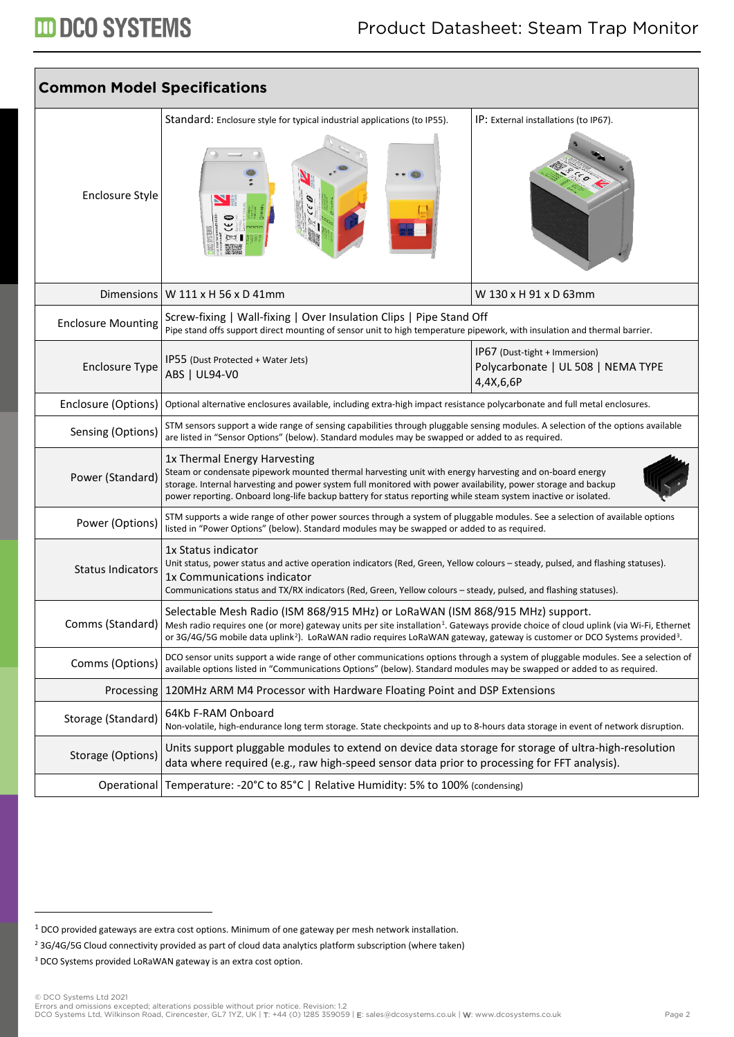| <b>Common Model Specifications</b> |                                                                                                                                                                                                                                                                                                                                                                                                            |                                                                                  |  |
|------------------------------------|------------------------------------------------------------------------------------------------------------------------------------------------------------------------------------------------------------------------------------------------------------------------------------------------------------------------------------------------------------------------------------------------------------|----------------------------------------------------------------------------------|--|
| <b>Enclosure Style</b>             | Standard: Enclosure style for typical industrial applications (to IP55).                                                                                                                                                                                                                                                                                                                                   | IP: External installations (to IP67).                                            |  |
|                                    | Dimensions W $111 \times H$ 56 x D 41mm                                                                                                                                                                                                                                                                                                                                                                    | W 130 x H 91 x D 63mm                                                            |  |
| <b>Enclosure Mounting</b>          | Screw-fixing   Wall-fixing   Over Insulation Clips   Pipe Stand Off<br>Pipe stand offs support direct mounting of sensor unit to high temperature pipework, with insulation and thermal barrier.                                                                                                                                                                                                           |                                                                                  |  |
| <b>Enclosure Type</b>              | IP55 (Dust Protected + Water Jets)<br>ABS   UL94-V0                                                                                                                                                                                                                                                                                                                                                        | IP67 (Dust-tight + Immersion)<br>Polycarbonate   UL 508   NEMA TYPE<br>4,4X,6,6P |  |
|                                    | Enclosure (Options)   Optional alternative enclosures available, including extra-high impact resistance polycarbonate and full metal enclosures.                                                                                                                                                                                                                                                           |                                                                                  |  |
| Sensing (Options)                  | STM sensors support a wide range of sensing capabilities through pluggable sensing modules. A selection of the options available<br>are listed in "Sensor Options" (below). Standard modules may be swapped or added to as required.                                                                                                                                                                       |                                                                                  |  |
| Power (Standard)                   | 1x Thermal Energy Harvesting<br>Steam or condensate pipework mounted thermal harvesting unit with energy harvesting and on-board energy<br>storage. Internal harvesting and power system full monitored with power availability, power storage and backup<br>power reporting. Onboard long-life backup battery for status reporting while steam system inactive or isolated.                               |                                                                                  |  |
| Power (Options)                    | STM supports a wide range of other power sources through a system of pluggable modules. See a selection of available options<br>listed in "Power Options" (below). Standard modules may be swapped or added to as required.                                                                                                                                                                                |                                                                                  |  |
| <b>Status Indicators</b>           | 1x Status indicator<br>Unit status, power status and active operation indicators (Red, Green, Yellow colours - steady, pulsed, and flashing statuses).<br>1x Communications indicator<br>Communications status and TX/RX indicators (Red, Green, Yellow colours - steady, pulsed, and flashing statuses).                                                                                                  |                                                                                  |  |
|                                    | Selectable Mesh Radio (ISM 868/915 MHz) or LoRaWAN (ISM 868/915 MHz) support.<br>Comms (Standard)   Mesh radio requires one (or more) gateway units per site installation <sup>1</sup> . Gateways provide choice of cloud uplink (via Wi-Fi, Ethernet<br>or 3G/4G/5G mobile data uplink <sup>2</sup> ). LoRaWAN radio requires LoRaWAN gateway, gateway is customer or DCO Systems provided <sup>3</sup> . |                                                                                  |  |
| Comms (Options)                    | DCO sensor units support a wide range of other communications options through a system of pluggable modules. See a selection of<br>available options listed in "Communications Options" (below). Standard modules may be swapped or added to as required.                                                                                                                                                  |                                                                                  |  |
| Processing                         | 120MHz ARM M4 Processor with Hardware Floating Point and DSP Extensions                                                                                                                                                                                                                                                                                                                                    |                                                                                  |  |
| Storage (Standard)                 | 64Kb F-RAM Onboard<br>Non-volatile, high-endurance long term storage. State checkpoints and up to 8-hours data storage in event of network disruption.                                                                                                                                                                                                                                                     |                                                                                  |  |
| Storage (Options)                  | Units support pluggable modules to extend on device data storage for storage of ultra-high-resolution<br>data where required (e.g., raw high-speed sensor data prior to processing for FFT analysis).                                                                                                                                                                                                      |                                                                                  |  |
|                                    | Operational   Temperature: -20°C to 85°C   Relative Humidity: 5% to 100% (condensing)                                                                                                                                                                                                                                                                                                                      |                                                                                  |  |

<span id="page-1-0"></span><sup>1</sup> DCO provided gateways are extra cost options. Minimum of one gateway per mesh network installation.

<span id="page-1-1"></span><sup>&</sup>lt;sup>2</sup> 3G/4G/5G Cloud connectivity provided as part of cloud data analytics platform subscription (where taken)

<span id="page-1-2"></span><sup>&</sup>lt;sup>3</sup> DCO Systems provided LoRaWAN gateway is an extra cost option.